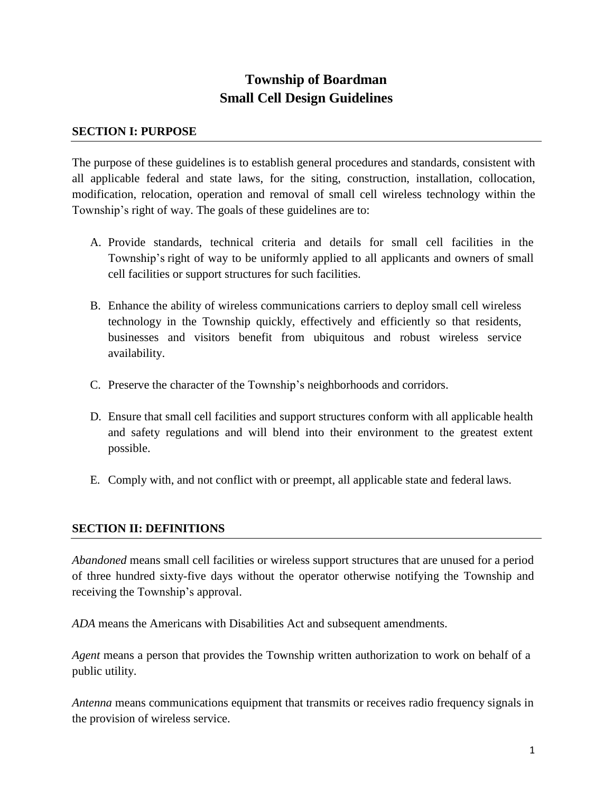# **Township of Boardman Small Cell Design Guidelines**

#### **SECTION I: PURPOSE**

The purpose of these guidelines is to establish general procedures and standards, consistent with all applicable federal and state laws, for the siting, construction, installation, collocation, modification, relocation, operation and removal of small cell wireless technology within the Township's right of way. The goals of these guidelines are to:

- A. Provide standards, technical criteria and details for small cell facilities in the Township's right of way to be uniformly applied to all applicants and owners of small cell facilities or support structures for such facilities.
- B. Enhance the ability of wireless communications carriers to deploy small cell wireless technology in the Township quickly, effectively and efficiently so that residents, businesses and visitors benefit from ubiquitous and robust wireless service availability.
- C. Preserve the character of the Township's neighborhoods and corridors.
- D. Ensure that small cell facilities and support structures conform with all applicable health and safety regulations and will blend into their environment to the greatest extent possible.
- E. Comply with, and not conflict with or preempt, all applicable state and federal laws.

### **SECTION II: DEFINITIONS**

*Abandoned* means small cell facilities or wireless support structures that are unused for a period of three hundred sixty-five days without the operator otherwise notifying the Township and receiving the Township's approval.

*ADA* means the Americans with Disabilities Act and subsequent amendments.

*Agent* means a person that provides the Township written authorization to work on behalf of a public utility.

*Antenna* means communications equipment that transmits or receives radio frequency signals in the provision of wireless service.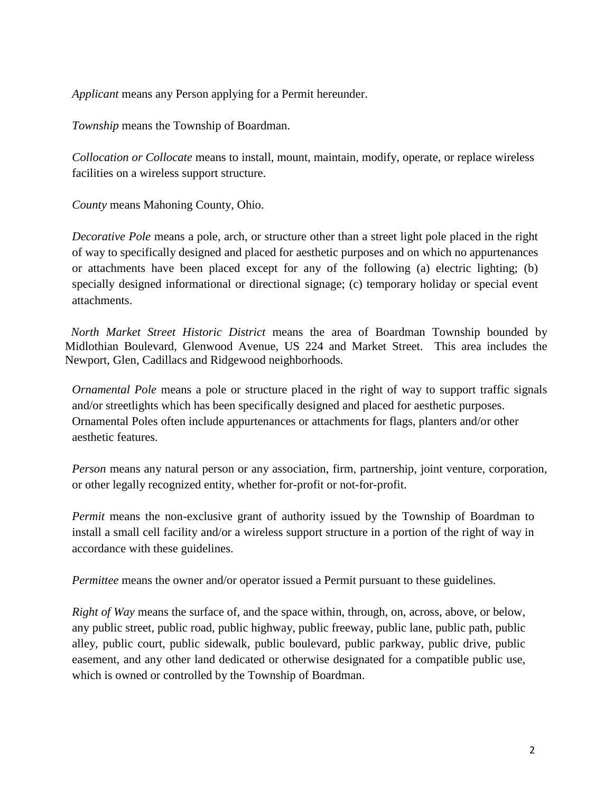*Applicant* means any Person applying for a Permit hereunder.

*Township* means the Township of Boardman.

*Collocation or Collocate* means to install, mount, maintain, modify, operate, or replace wireless facilities on a wireless support structure.

*County* means Mahoning County, Ohio.

*Decorative Pole* means a pole, arch, or structure other than a street light pole placed in the right of way to specifically designed and placed for aesthetic purposes and on which no appurtenances or attachments have been placed except for any of the following (a) electric lighting; (b) specially designed informational or directional signage; (c) temporary holiday or special event attachments.

 *North Market Street Historic District* means the area of Boardman Township bounded by Midlothian Boulevard, Glenwood Avenue, US 224 and Market Street. This area includes the Newport, Glen, Cadillacs and Ridgewood neighborhoods.

*Ornamental Pole* means a pole or structure placed in the right of way to support traffic signals and/or streetlights which has been specifically designed and placed for aesthetic purposes. Ornamental Poles often include appurtenances or attachments for flags, planters and/or other aesthetic features.

*Person* means any natural person or any association, firm, partnership, joint venture, corporation, or other legally recognized entity, whether for-profit or not-for-profit.

*Permit* means the non-exclusive grant of authority issued by the Township of Boardman to install a small cell facility and/or a wireless support structure in a portion of the right of way in accordance with these guidelines.

*Permittee* means the owner and/or operator issued a Permit pursuant to these guidelines.

*Right of Way* means the surface of, and the space within, through, on, across, above, or below, any public street, public road, public highway, public freeway, public lane, public path, public alley, public court, public sidewalk, public boulevard, public parkway, public drive, public easement, and any other land dedicated or otherwise designated for a compatible public use, which is owned or controlled by the Township of Boardman.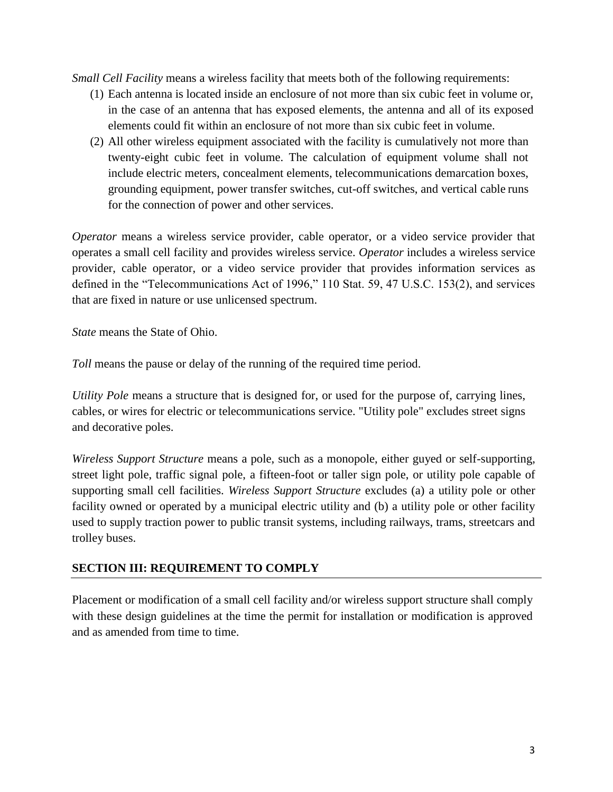*Small Cell Facility* means a wireless facility that meets both of the following requirements:

- (1) Each antenna is located inside an enclosure of not more than six cubic feet in volume or, in the case of an antenna that has exposed elements, the antenna and all of its exposed elements could fit within an enclosure of not more than six cubic feet in volume.
- (2) All other wireless equipment associated with the facility is cumulatively not more than twenty-eight cubic feet in volume. The calculation of equipment volume shall not include electric meters, concealment elements, telecommunications demarcation boxes, grounding equipment, power transfer switches, cut-off switches, and vertical cable runs for the connection of power and other services.

*Operator* means a wireless service provider, cable operator, or a video service provider that operates a small cell facility and provides wireless service. *Operator* includes a wireless service provider, cable operator, or a video service provider that provides information services as defined in the "Telecommunications Act of 1996," 110 Stat. 59, 47 U.S.C. 153(2), and services that are fixed in nature or use unlicensed spectrum.

*State* means the State of Ohio.

*Toll* means the pause or delay of the running of the required time period.

*Utility Pole* means a structure that is designed for, or used for the purpose of, carrying lines, cables, or wires for electric or telecommunications service. "Utility pole" excludes street signs and decorative poles.

*Wireless Support Structure* means a pole, such as a monopole, either guyed or self-supporting, street light pole, traffic signal pole, a fifteen-foot or taller sign pole, or utility pole capable of supporting small cell facilities. *Wireless Support Structure* excludes (a) a utility pole or other facility owned or operated by a municipal electric utility and (b) a utility pole or other facility used to supply traction power to public transit systems, including railways, trams, streetcars and trolley buses.

### **SECTION III: REQUIREMENT TO COMPLY**

Placement or modification of a small cell facility and/or wireless support structure shall comply with these design guidelines at the time the permit for installation or modification is approved and as amended from time to time.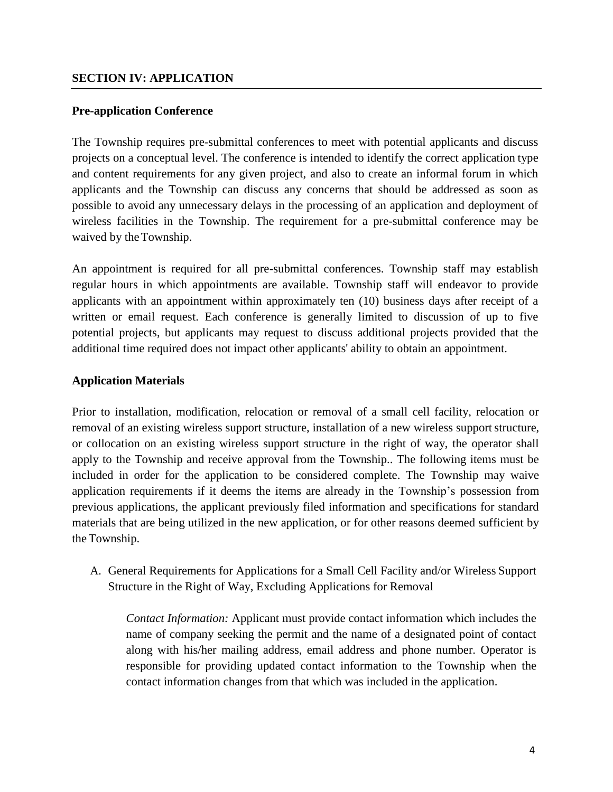#### **Pre-application Conference**

The Township requires pre-submittal conferences to meet with potential applicants and discuss projects on a conceptual level. The conference is intended to identify the correct application type and content requirements for any given project, and also to create an informal forum in which applicants and the Township can discuss any concerns that should be addressed as soon as possible to avoid any unnecessary delays in the processing of an application and deployment of wireless facilities in the Township. The requirement for a pre-submittal conference may be waived by the Township.

An appointment is required for all pre-submittal conferences. Township staff may establish regular hours in which appointments are available. Township staff will endeavor to provide applicants with an appointment within approximately ten (10) business days after receipt of a written or email request. Each conference is generally limited to discussion of up to five potential projects, but applicants may request to discuss additional projects provided that the additional time required does not impact other applicants' ability to obtain an appointment.

#### **Application Materials**

Prior to installation, modification, relocation or removal of a small cell facility, relocation or removal of an existing wireless support structure, installation of a new wireless support structure, or collocation on an existing wireless support structure in the right of way, the operator shall apply to the Township and receive approval from the Township.. The following items must be included in order for the application to be considered complete. The Township may waive application requirements if it deems the items are already in the Township's possession from previous applications, the applicant previously filed information and specifications for standard materials that are being utilized in the new application, or for other reasons deemed sufficient by the Township.

A. General Requirements for Applications for a Small Cell Facility and/or Wireless Support Structure in the Right of Way, Excluding Applications for Removal

*Contact Information:* Applicant must provide contact information which includes the name of company seeking the permit and the name of a designated point of contact along with his/her mailing address, email address and phone number. Operator is responsible for providing updated contact information to the Township when the contact information changes from that which was included in the application.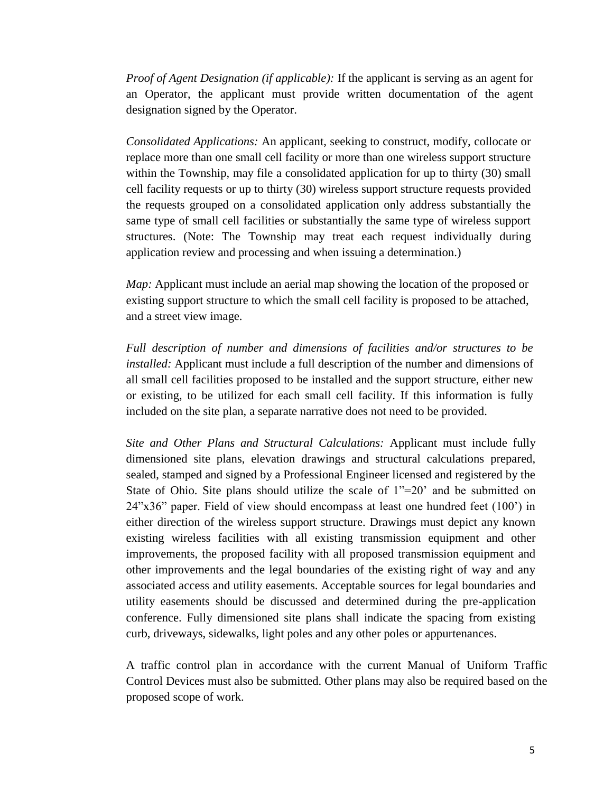*Proof of Agent Designation (if applicable):* If the applicant is serving as an agent for an Operator, the applicant must provide written documentation of the agent designation signed by the Operator.

*Consolidated Applications:* An applicant, seeking to construct, modify, collocate or replace more than one small cell facility or more than one wireless support structure within the Township, may file a consolidated application for up to thirty (30) small cell facility requests or up to thirty (30) wireless support structure requests provided the requests grouped on a consolidated application only address substantially the same type of small cell facilities or substantially the same type of wireless support structures. (Note: The Township may treat each request individually during application review and processing and when issuing a determination.)

*Map:* Applicant must include an aerial map showing the location of the proposed or existing support structure to which the small cell facility is proposed to be attached, and a street view image.

*Full description of number and dimensions of facilities and/or structures to be installed:* Applicant must include a full description of the number and dimensions of all small cell facilities proposed to be installed and the support structure, either new or existing, to be utilized for each small cell facility. If this information is fully included on the site plan, a separate narrative does not need to be provided.

*Site and Other Plans and Structural Calculations:* Applicant must include fully dimensioned site plans, elevation drawings and structural calculations prepared, sealed, stamped and signed by a Professional Engineer licensed and registered by the State of Ohio. Site plans should utilize the scale of 1"=20' and be submitted on 24"x36" paper. Field of view should encompass at least one hundred feet (100') in either direction of the wireless support structure. Drawings must depict any known existing wireless facilities with all existing transmission equipment and other improvements, the proposed facility with all proposed transmission equipment and other improvements and the legal boundaries of the existing right of way and any associated access and utility easements. Acceptable sources for legal boundaries and utility easements should be discussed and determined during the pre-application conference. Fully dimensioned site plans shall indicate the spacing from existing curb, driveways, sidewalks, light poles and any other poles or appurtenances.

A traffic control plan in accordance with the current Manual of Uniform Traffic Control Devices must also be submitted. Other plans may also be required based on the proposed scope of work.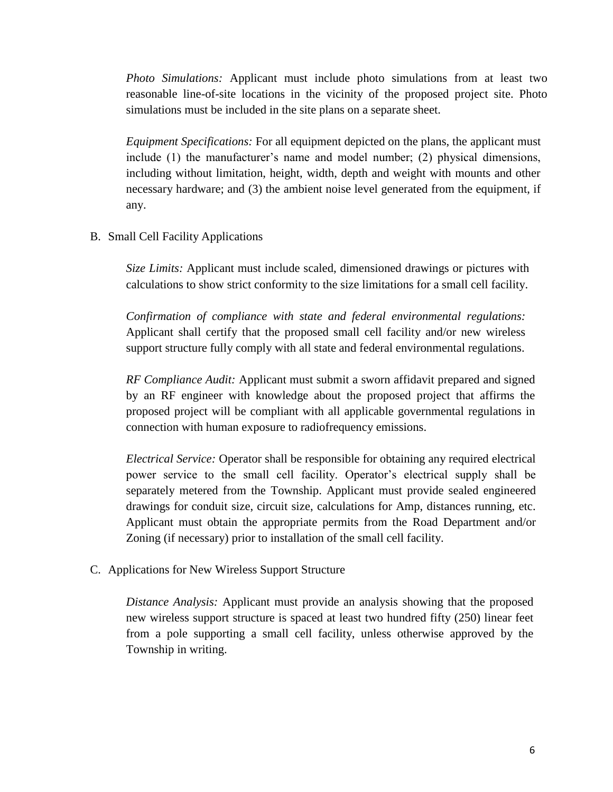*Photo Simulations:* Applicant must include photo simulations from at least two reasonable line-of-site locations in the vicinity of the proposed project site. Photo simulations must be included in the site plans on a separate sheet.

*Equipment Specifications:* For all equipment depicted on the plans, the applicant must include (1) the manufacturer's name and model number; (2) physical dimensions, including without limitation, height, width, depth and weight with mounts and other necessary hardware; and (3) the ambient noise level generated from the equipment, if any.

B. Small Cell Facility Applications

*Size Limits:* Applicant must include scaled, dimensioned drawings or pictures with calculations to show strict conformity to the size limitations for a small cell facility.

*Confirmation of compliance with state and federal environmental regulations:*  Applicant shall certify that the proposed small cell facility and/or new wireless support structure fully comply with all state and federal environmental regulations.

*RF Compliance Audit:* Applicant must submit a sworn affidavit prepared and signed by an RF engineer with knowledge about the proposed project that affirms the proposed project will be compliant with all applicable governmental regulations in connection with human exposure to radiofrequency emissions.

*Electrical Service:* Operator shall be responsible for obtaining any required electrical power service to the small cell facility. Operator's electrical supply shall be separately metered from the Township. Applicant must provide sealed engineered drawings for conduit size, circuit size, calculations for Amp, distances running, etc. Applicant must obtain the appropriate permits from the Road Department and/or Zoning (if necessary) prior to installation of the small cell facility.

C. Applications for New Wireless Support Structure

*Distance Analysis:* Applicant must provide an analysis showing that the proposed new wireless support structure is spaced at least two hundred fifty (250) linear feet from a pole supporting a small cell facility, unless otherwise approved by the Township in writing.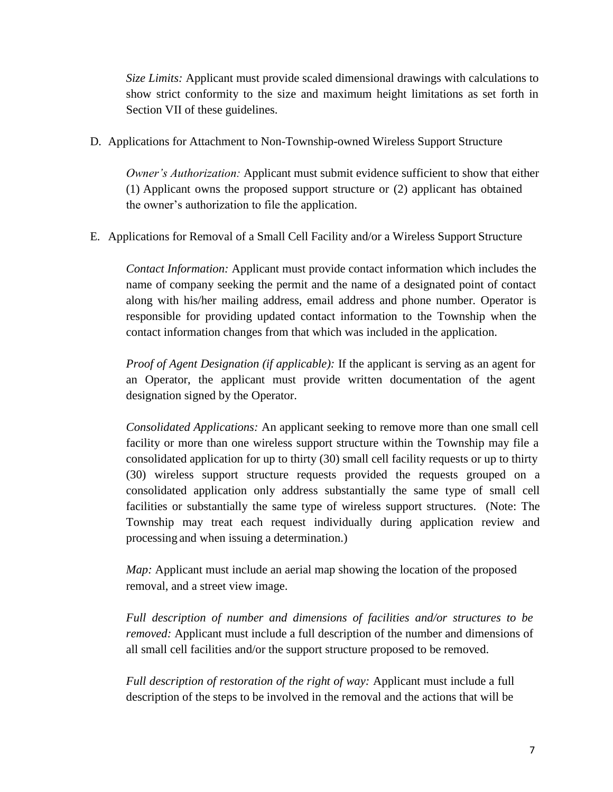*Size Limits:* Applicant must provide scaled dimensional drawings with calculations to show strict conformity to the size and maximum height limitations as set forth in Section VII of these guidelines.

D. Applications for Attachment to Non-Township-owned Wireless Support Structure

*Owner's Authorization:* Applicant must submit evidence sufficient to show that either (1) Applicant owns the proposed support structure or (2) applicant has obtained the owner's authorization to file the application.

E. Applications for Removal of a Small Cell Facility and/or a Wireless Support Structure

*Contact Information:* Applicant must provide contact information which includes the name of company seeking the permit and the name of a designated point of contact along with his/her mailing address, email address and phone number. Operator is responsible for providing updated contact information to the Township when the contact information changes from that which was included in the application.

*Proof of Agent Designation (if applicable):* If the applicant is serving as an agent for an Operator, the applicant must provide written documentation of the agent designation signed by the Operator.

*Consolidated Applications:* An applicant seeking to remove more than one small cell facility or more than one wireless support structure within the Township may file a consolidated application for up to thirty (30) small cell facility requests or up to thirty (30) wireless support structure requests provided the requests grouped on a consolidated application only address substantially the same type of small cell facilities or substantially the same type of wireless support structures. (Note: The Township may treat each request individually during application review and processing and when issuing a determination.)

*Map*: Applicant must include an aerial map showing the location of the proposed removal, and a street view image.

*Full description of number and dimensions of facilities and/or structures to be removed:* Applicant must include a full description of the number and dimensions of all small cell facilities and/or the support structure proposed to be removed.

*Full description of restoration of the right of way:* Applicant must include a full description of the steps to be involved in the removal and the actions that will be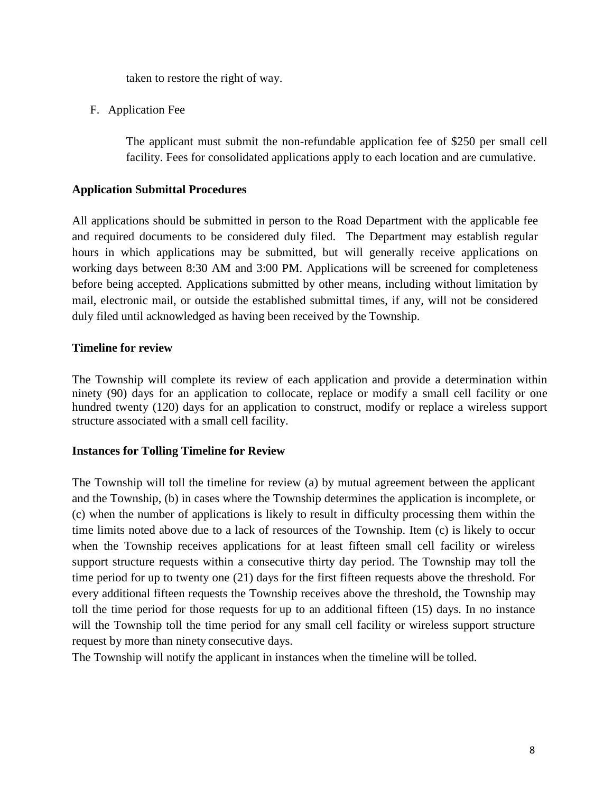taken to restore the right of way.

F. Application Fee

The applicant must submit the non-refundable application fee of \$250 per small cell facility. Fees for consolidated applications apply to each location and are cumulative.

## **Application Submittal Procedures**

All applications should be submitted in person to the Road Department with the applicable fee and required documents to be considered duly filed. The Department may establish regular hours in which applications may be submitted, but will generally receive applications on working days between 8:30 AM and 3:00 PM. Applications will be screened for completeness before being accepted. Applications submitted by other means, including without limitation by mail, electronic mail, or outside the established submittal times, if any, will not be considered duly filed until acknowledged as having been received by the Township.

### **Timeline for review**

The Township will complete its review of each application and provide a determination within ninety (90) days for an application to collocate, replace or modify a small cell facility or one hundred twenty (120) days for an application to construct, modify or replace a wireless support structure associated with a small cell facility.

### **Instances for Tolling Timeline for Review**

The Township will toll the timeline for review (a) by mutual agreement between the applicant and the Township, (b) in cases where the Township determines the application is incomplete, or (c) when the number of applications is likely to result in difficulty processing them within the time limits noted above due to a lack of resources of the Township. Item (c) is likely to occur when the Township receives applications for at least fifteen small cell facility or wireless support structure requests within a consecutive thirty day period. The Township may toll the time period for up to twenty one (21) days for the first fifteen requests above the threshold. For every additional fifteen requests the Township receives above the threshold, the Township may toll the time period for those requests for up to an additional fifteen (15) days. In no instance will the Township toll the time period for any small cell facility or wireless support structure request by more than ninety consecutive days.

The Township will notify the applicant in instances when the timeline will be tolled.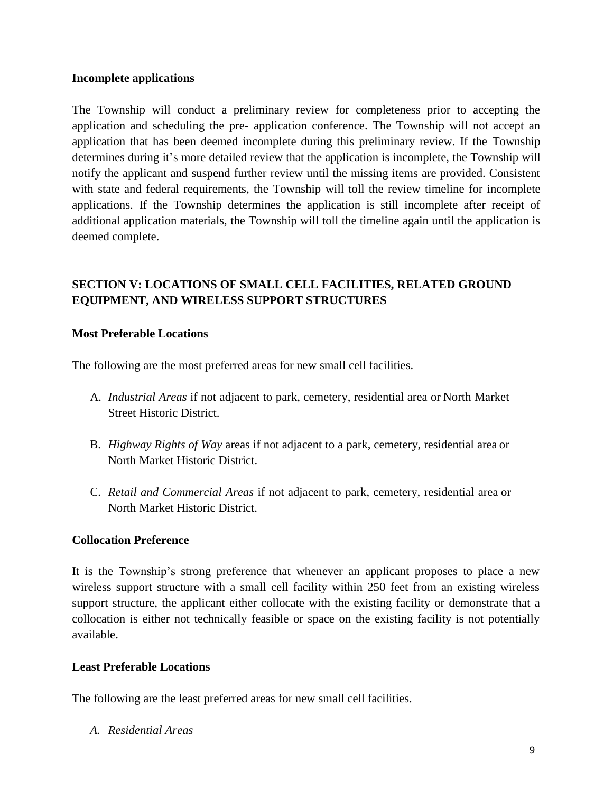#### **Incomplete applications**

The Township will conduct a preliminary review for completeness prior to accepting the application and scheduling the pre- application conference. The Township will not accept an application that has been deemed incomplete during this preliminary review. If the Township determines during it's more detailed review that the application is incomplete, the Township will notify the applicant and suspend further review until the missing items are provided. Consistent with state and federal requirements, the Township will toll the review timeline for incomplete applications. If the Township determines the application is still incomplete after receipt of additional application materials, the Township will toll the timeline again until the application is deemed complete.

# **SECTION V: LOCATIONS OF SMALL CELL FACILITIES, RELATED GROUND EQUIPMENT, AND WIRELESS SUPPORT STRUCTURES**

#### **Most Preferable Locations**

The following are the most preferred areas for new small cell facilities.

- A. *Industrial Areas* if not adjacent to park, cemetery, residential area or North Market Street Historic District.
- B. *Highway Rights of Way* areas if not adjacent to a park, cemetery, residential area or North Market Historic District.
- C. *Retail and Commercial Areas* if not adjacent to park, cemetery, residential area or North Market Historic District.

#### **Collocation Preference**

It is the Township's strong preference that whenever an applicant proposes to place a new wireless support structure with a small cell facility within 250 feet from an existing wireless support structure, the applicant either collocate with the existing facility or demonstrate that a collocation is either not technically feasible or space on the existing facility is not potentially available.

#### **Least Preferable Locations**

The following are the least preferred areas for new small cell facilities.

*A. Residential Areas*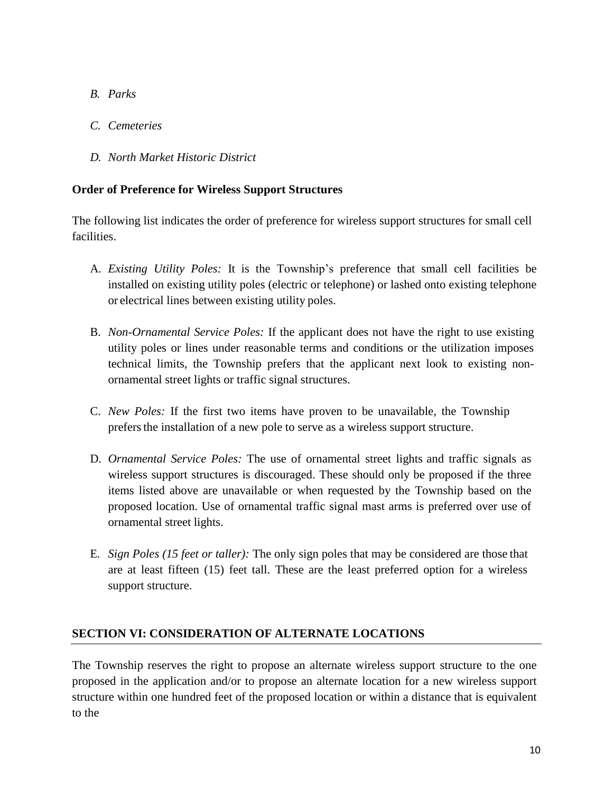- *B. Parks*
- *C. Cemeteries*
- *D. North Market Historic District*

### **Order of Preference for Wireless Support Structures**

The following list indicates the order of preference for wireless support structures for small cell facilities.

- A. *Existing Utility Poles:* It is the Township's preference that small cell facilities be installed on existing utility poles (electric or telephone) or lashed onto existing telephone or electrical lines between existing utility poles.
- B. *Non-Ornamental Service Poles:* If the applicant does not have the right to use existing utility poles or lines under reasonable terms and conditions or the utilization imposes technical limits, the Township prefers that the applicant next look to existing nonornamental street lights or traffic signal structures.
- C. *New Poles:* If the first two items have proven to be unavailable, the Township prefersthe installation of a new pole to serve as a wireless support structure.
- D. *Ornamental Service Poles:* The use of ornamental street lights and traffic signals as wireless support structures is discouraged. These should only be proposed if the three items listed above are unavailable or when requested by the Township based on the proposed location. Use of ornamental traffic signal mast arms is preferred over use of ornamental street lights.
- E. *Sign Poles (15 feet or taller):* The only sign poles that may be considered are those that are at least fifteen (15) feet tall. These are the least preferred option for a wireless support structure.

# **SECTION VI: CONSIDERATION OF ALTERNATE LOCATIONS**

The Township reserves the right to propose an alternate wireless support structure to the one proposed in the application and/or to propose an alternate location for a new wireless support structure within one hundred feet of the proposed location or within a distance that is equivalent to the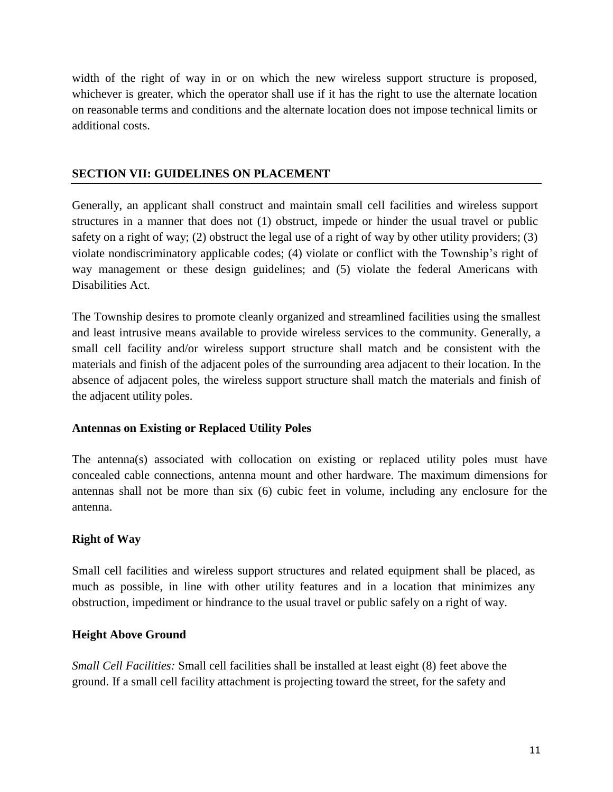width of the right of way in or on which the new wireless support structure is proposed, whichever is greater, which the operator shall use if it has the right to use the alternate location on reasonable terms and conditions and the alternate location does not impose technical limits or additional costs.

### **SECTION VII: GUIDELINES ON PLACEMENT**

Generally, an applicant shall construct and maintain small cell facilities and wireless support structures in a manner that does not (1) obstruct, impede or hinder the usual travel or public safety on a right of way; (2) obstruct the legal use of a right of way by other utility providers; (3) violate nondiscriminatory applicable codes; (4) violate or conflict with the Township's right of way management or these design guidelines; and (5) violate the federal Americans with Disabilities Act.

The Township desires to promote cleanly organized and streamlined facilities using the smallest and least intrusive means available to provide wireless services to the community. Generally, a small cell facility and/or wireless support structure shall match and be consistent with the materials and finish of the adjacent poles of the surrounding area adjacent to their location. In the absence of adjacent poles, the wireless support structure shall match the materials and finish of the adjacent utility poles.

#### **Antennas on Existing or Replaced Utility Poles**

The antenna(s) associated with collocation on existing or replaced utility poles must have concealed cable connections, antenna mount and other hardware. The maximum dimensions for antennas shall not be more than six (6) cubic feet in volume, including any enclosure for the antenna.

### **Right of Way**

Small cell facilities and wireless support structures and related equipment shall be placed, as much as possible, in line with other utility features and in a location that minimizes any obstruction, impediment or hindrance to the usual travel or public safely on a right of way.

#### **Height Above Ground**

*Small Cell Facilities:* Small cell facilities shall be installed at least eight (8) feet above the ground. If a small cell facility attachment is projecting toward the street, for the safety and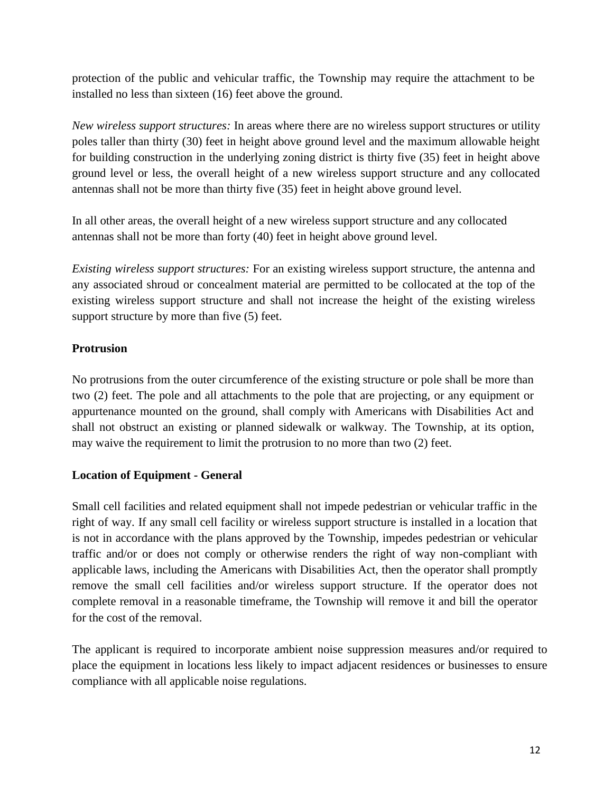protection of the public and vehicular traffic, the Township may require the attachment to be installed no less than sixteen (16) feet above the ground.

*New wireless support structures:* In areas where there are no wireless support structures or utility poles taller than thirty (30) feet in height above ground level and the maximum allowable height for building construction in the underlying zoning district is thirty five (35) feet in height above ground level or less, the overall height of a new wireless support structure and any collocated antennas shall not be more than thirty five (35) feet in height above ground level.

In all other areas, the overall height of a new wireless support structure and any collocated antennas shall not be more than forty (40) feet in height above ground level.

*Existing wireless support structures:* For an existing wireless support structure, the antenna and any associated shroud or concealment material are permitted to be collocated at the top of the existing wireless support structure and shall not increase the height of the existing wireless support structure by more than five (5) feet.

### **Protrusion**

No protrusions from the outer circumference of the existing structure or pole shall be more than two (2) feet. The pole and all attachments to the pole that are projecting, or any equipment or appurtenance mounted on the ground, shall comply with Americans with Disabilities Act and shall not obstruct an existing or planned sidewalk or walkway. The Township, at its option, may waive the requirement to limit the protrusion to no more than two (2) feet.

### **Location of Equipment - General**

Small cell facilities and related equipment shall not impede pedestrian or vehicular traffic in the right of way. If any small cell facility or wireless support structure is installed in a location that is not in accordance with the plans approved by the Township, impedes pedestrian or vehicular traffic and/or or does not comply or otherwise renders the right of way non-compliant with applicable laws, including the Americans with Disabilities Act, then the operator shall promptly remove the small cell facilities and/or wireless support structure. If the operator does not complete removal in a reasonable timeframe, the Township will remove it and bill the operator for the cost of the removal.

The applicant is required to incorporate ambient noise suppression measures and/or required to place the equipment in locations less likely to impact adjacent residences or businesses to ensure compliance with all applicable noise regulations.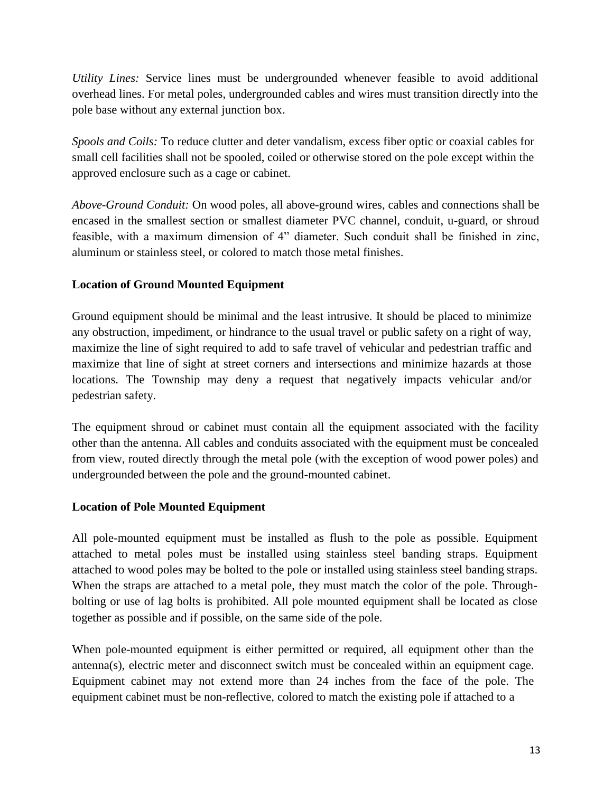*Utility Lines:* Service lines must be undergrounded whenever feasible to avoid additional overhead lines. For metal poles, undergrounded cables and wires must transition directly into the pole base without any external junction box.

*Spools and Coils:* To reduce clutter and deter vandalism, excess fiber optic or coaxial cables for small cell facilities shall not be spooled, coiled or otherwise stored on the pole except within the approved enclosure such as a cage or cabinet.

*Above-Ground Conduit:* On wood poles, all above-ground wires, cables and connections shall be encased in the smallest section or smallest diameter PVC channel, conduit, u-guard, or shroud feasible, with a maximum dimension of 4" diameter. Such conduit shall be finished in zinc, aluminum or stainless steel, or colored to match those metal finishes.

### **Location of Ground Mounted Equipment**

Ground equipment should be minimal and the least intrusive. It should be placed to minimize any obstruction, impediment, or hindrance to the usual travel or public safety on a right of way, maximize the line of sight required to add to safe travel of vehicular and pedestrian traffic and maximize that line of sight at street corners and intersections and minimize hazards at those locations. The Township may deny a request that negatively impacts vehicular and/or pedestrian safety.

The equipment shroud or cabinet must contain all the equipment associated with the facility other than the antenna. All cables and conduits associated with the equipment must be concealed from view, routed directly through the metal pole (with the exception of wood power poles) and undergrounded between the pole and the ground-mounted cabinet.

### **Location of Pole Mounted Equipment**

All pole-mounted equipment must be installed as flush to the pole as possible. Equipment attached to metal poles must be installed using stainless steel banding straps. Equipment attached to wood poles may be bolted to the pole or installed using stainless steel banding straps. When the straps are attached to a metal pole, they must match the color of the pole. Throughbolting or use of lag bolts is prohibited. All pole mounted equipment shall be located as close together as possible and if possible, on the same side of the pole.

When pole-mounted equipment is either permitted or required, all equipment other than the antenna(s), electric meter and disconnect switch must be concealed within an equipment cage. Equipment cabinet may not extend more than 24 inches from the face of the pole. The equipment cabinet must be non-reflective, colored to match the existing pole if attached to a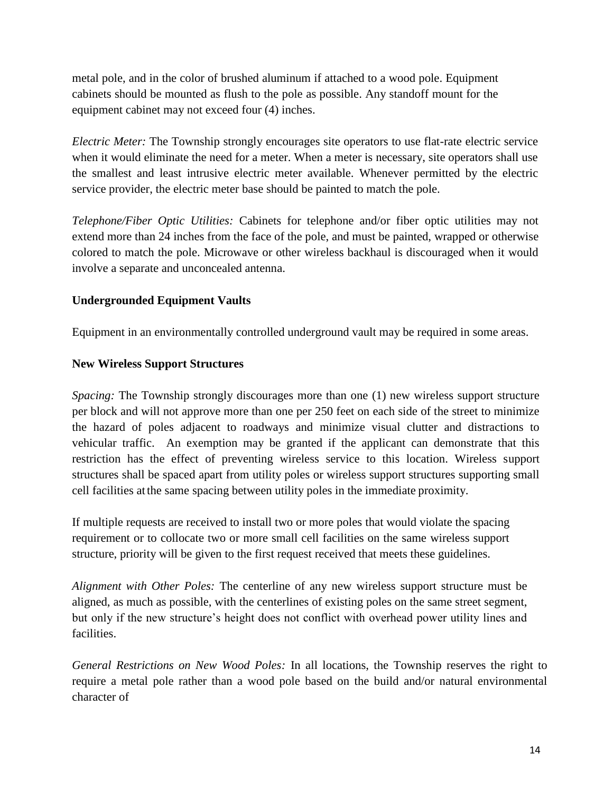metal pole, and in the color of brushed aluminum if attached to a wood pole. Equipment cabinets should be mounted as flush to the pole as possible. Any standoff mount for the equipment cabinet may not exceed four (4) inches.

*Electric Meter:* The Township strongly encourages site operators to use flat-rate electric service when it would eliminate the need for a meter. When a meter is necessary, site operators shall use the smallest and least intrusive electric meter available. Whenever permitted by the electric service provider, the electric meter base should be painted to match the pole.

*Telephone/Fiber Optic Utilities:* Cabinets for telephone and/or fiber optic utilities may not extend more than 24 inches from the face of the pole, and must be painted, wrapped or otherwise colored to match the pole. Microwave or other wireless backhaul is discouraged when it would involve a separate and unconcealed antenna.

### **Undergrounded Equipment Vaults**

Equipment in an environmentally controlled underground vault may be required in some areas.

### **New Wireless Support Structures**

*Spacing:* The Township strongly discourages more than one (1) new wireless support structure per block and will not approve more than one per 250 feet on each side of the street to minimize the hazard of poles adjacent to roadways and minimize visual clutter and distractions to vehicular traffic. An exemption may be granted if the applicant can demonstrate that this restriction has the effect of preventing wireless service to this location. Wireless support structures shall be spaced apart from utility poles or wireless support structures supporting small cell facilities at the same spacing between utility poles in the immediate proximity.

If multiple requests are received to install two or more poles that would violate the spacing requirement or to collocate two or more small cell facilities on the same wireless support structure, priority will be given to the first request received that meets these guidelines.

*Alignment with Other Poles:* The centerline of any new wireless support structure must be aligned, as much as possible, with the centerlines of existing poles on the same street segment, but only if the new structure's height does not conflict with overhead power utility lines and facilities.

*General Restrictions on New Wood Poles:* In all locations, the Township reserves the right to require a metal pole rather than a wood pole based on the build and/or natural environmental character of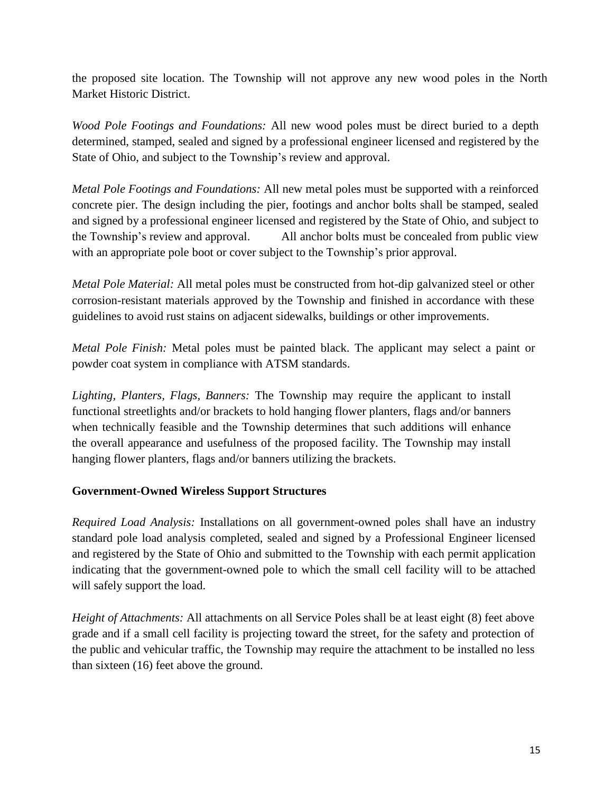the proposed site location. The Township will not approve any new wood poles in the North Market Historic District.

*Wood Pole Footings and Foundations:* All new wood poles must be direct buried to a depth determined, stamped, sealed and signed by a professional engineer licensed and registered by the State of Ohio, and subject to the Township's review and approval.

*Metal Pole Footings and Foundations:* All new metal poles must be supported with a reinforced concrete pier. The design including the pier, footings and anchor bolts shall be stamped, sealed and signed by a professional engineer licensed and registered by the State of Ohio, and subject to the Township's review and approval. All anchor bolts must be concealed from public view with an appropriate pole boot or cover subject to the Township's prior approval.

*Metal Pole Material:* All metal poles must be constructed from hot-dip galvanized steel or other corrosion-resistant materials approved by the Township and finished in accordance with these guidelines to avoid rust stains on adjacent sidewalks, buildings or other improvements.

*Metal Pole Finish:* Metal poles must be painted black. The applicant may select a paint or powder coat system in compliance with ATSM standards.

*Lighting, Planters, Flags, Banners:* The Township may require the applicant to install functional streetlights and/or brackets to hold hanging flower planters, flags and/or banners when technically feasible and the Township determines that such additions will enhance the overall appearance and usefulness of the proposed facility. The Township may install hanging flower planters, flags and/or banners utilizing the brackets.

### **Government-Owned Wireless Support Structures**

*Required Load Analysis:* Installations on all government-owned poles shall have an industry standard pole load analysis completed, sealed and signed by a Professional Engineer licensed and registered by the State of Ohio and submitted to the Township with each permit application indicating that the government-owned pole to which the small cell facility will to be attached will safely support the load.

*Height of Attachments:* All attachments on all Service Poles shall be at least eight (8) feet above grade and if a small cell facility is projecting toward the street, for the safety and protection of the public and vehicular traffic, the Township may require the attachment to be installed no less than sixteen (16) feet above the ground.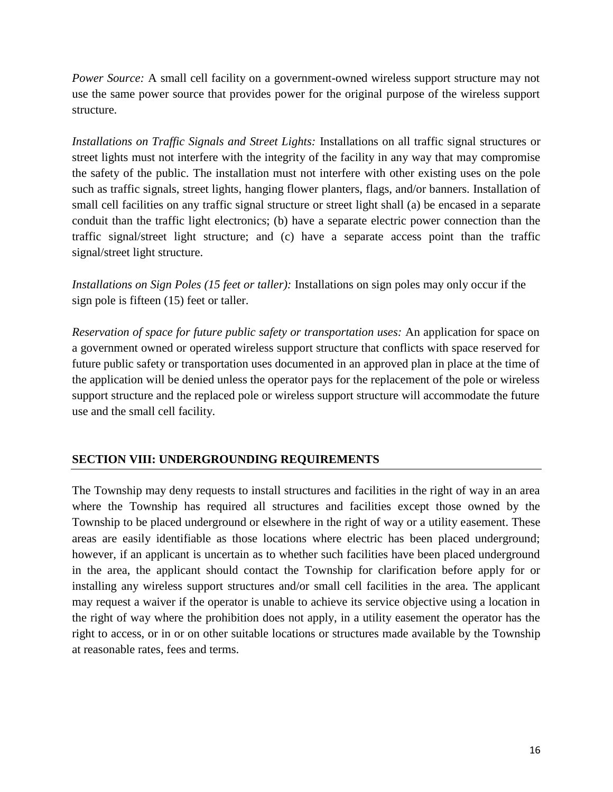*Power Source:* A small cell facility on a government-owned wireless support structure may not use the same power source that provides power for the original purpose of the wireless support structure.

*Installations on Traffic Signals and Street Lights:* Installations on all traffic signal structures or street lights must not interfere with the integrity of the facility in any way that may compromise the safety of the public. The installation must not interfere with other existing uses on the pole such as traffic signals, street lights, hanging flower planters, flags, and/or banners. Installation of small cell facilities on any traffic signal structure or street light shall (a) be encased in a separate conduit than the traffic light electronics; (b) have a separate electric power connection than the traffic signal/street light structure; and (c) have a separate access point than the traffic signal/street light structure.

*Installations on Sign Poles (15 feet or taller):* Installations on sign poles may only occur if the sign pole is fifteen (15) feet or taller.

*Reservation of space for future public safety or transportation uses:* An application for space on a government owned or operated wireless support structure that conflicts with space reserved for future public safety or transportation uses documented in an approved plan in place at the time of the application will be denied unless the operator pays for the replacement of the pole or wireless support structure and the replaced pole or wireless support structure will accommodate the future use and the small cell facility.

### **SECTION VIII: UNDERGROUNDING REQUIREMENTS**

The Township may deny requests to install structures and facilities in the right of way in an area where the Township has required all structures and facilities except those owned by the Township to be placed underground or elsewhere in the right of way or a utility easement. These areas are easily identifiable as those locations where electric has been placed underground; however, if an applicant is uncertain as to whether such facilities have been placed underground in the area, the applicant should contact the Township for clarification before apply for or installing any wireless support structures and/or small cell facilities in the area. The applicant may request a waiver if the operator is unable to achieve its service objective using a location in the right of way where the prohibition does not apply, in a utility easement the operator has the right to access, or in or on other suitable locations or structures made available by the Township at reasonable rates, fees and terms.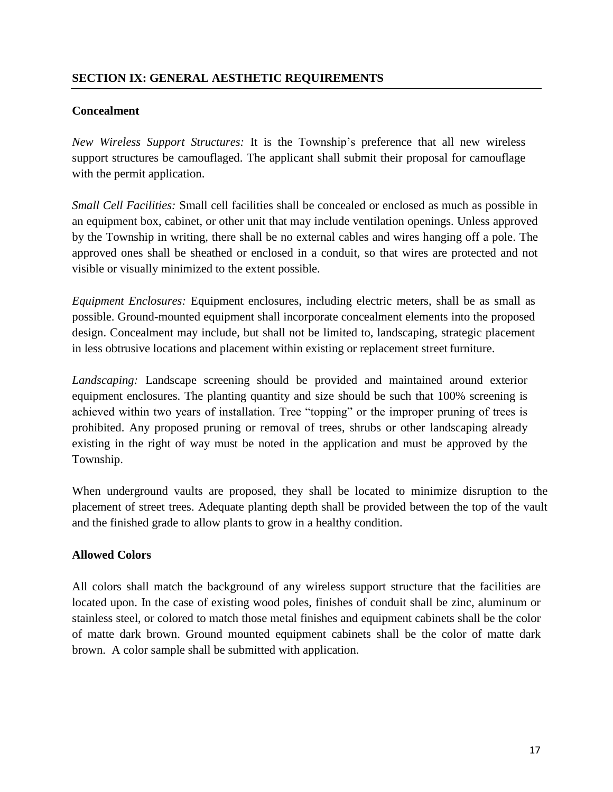#### **Concealment**

*New Wireless Support Structures:* It is the Township's preference that all new wireless support structures be camouflaged. The applicant shall submit their proposal for camouflage with the permit application.

*Small Cell Facilities:* Small cell facilities shall be concealed or enclosed as much as possible in an equipment box, cabinet, or other unit that may include ventilation openings. Unless approved by the Township in writing, there shall be no external cables and wires hanging off a pole. The approved ones shall be sheathed or enclosed in a conduit, so that wires are protected and not visible or visually minimized to the extent possible.

*Equipment Enclosures:* Equipment enclosures, including electric meters, shall be as small as possible. Ground-mounted equipment shall incorporate concealment elements into the proposed design. Concealment may include, but shall not be limited to, landscaping, strategic placement in less obtrusive locations and placement within existing or replacement street furniture.

*Landscaping:* Landscape screening should be provided and maintained around exterior equipment enclosures. The planting quantity and size should be such that 100% screening is achieved within two years of installation. Tree "topping" or the improper pruning of trees is prohibited. Any proposed pruning or removal of trees, shrubs or other landscaping already existing in the right of way must be noted in the application and must be approved by the Township.

When underground vaults are proposed, they shall be located to minimize disruption to the placement of street trees. Adequate planting depth shall be provided between the top of the vault and the finished grade to allow plants to grow in a healthy condition.

### **Allowed Colors**

All colors shall match the background of any wireless support structure that the facilities are located upon. In the case of existing wood poles, finishes of conduit shall be zinc, aluminum or stainless steel, or colored to match those metal finishes and equipment cabinets shall be the color of matte dark brown. Ground mounted equipment cabinets shall be the color of matte dark brown. A color sample shall be submitted with application.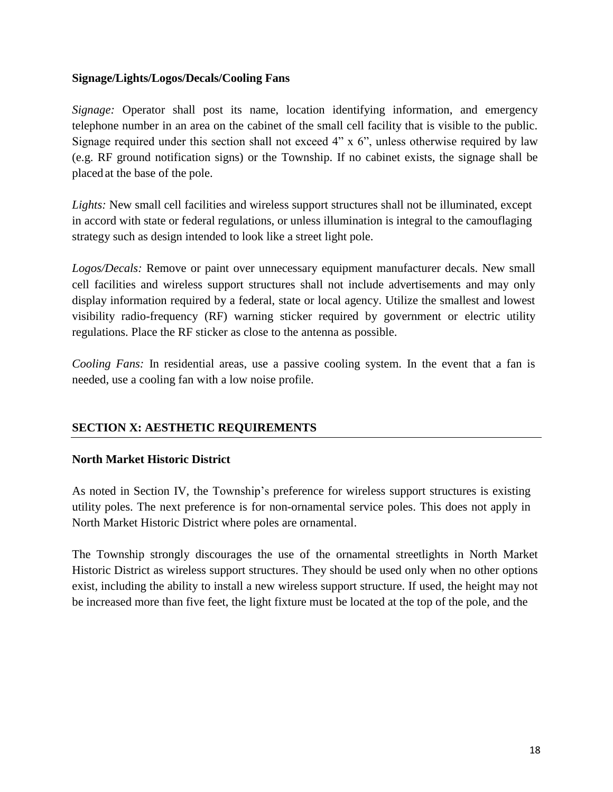#### **Signage/Lights/Logos/Decals/Cooling Fans**

*Signage:* Operator shall post its name, location identifying information, and emergency telephone number in an area on the cabinet of the small cell facility that is visible to the public. Signage required under this section shall not exceed 4" x 6", unless otherwise required by law (e.g. RF ground notification signs) or the Township. If no cabinet exists, the signage shall be placed at the base of the pole.

*Lights:* New small cell facilities and wireless support structures shall not be illuminated, except in accord with state or federal regulations, or unless illumination is integral to the camouflaging strategy such as design intended to look like a street light pole.

*Logos/Decals:* Remove or paint over unnecessary equipment manufacturer decals. New small cell facilities and wireless support structures shall not include advertisements and may only display information required by a federal, state or local agency. Utilize the smallest and lowest visibility radio-frequency (RF) warning sticker required by government or electric utility regulations. Place the RF sticker as close to the antenna as possible.

*Cooling Fans:* In residential areas, use a passive cooling system. In the event that a fan is needed, use a cooling fan with a low noise profile.

# **SECTION X: AESTHETIC REQUIREMENTS**

#### **North Market Historic District**

As noted in Section IV, the Township's preference for wireless support structures is existing utility poles. The next preference is for non-ornamental service poles. This does not apply in North Market Historic District where poles are ornamental.

The Township strongly discourages the use of the ornamental streetlights in North Market Historic District as wireless support structures. They should be used only when no other options exist, including the ability to install a new wireless support structure. If used, the height may not be increased more than five feet, the light fixture must be located at the top of the pole, and the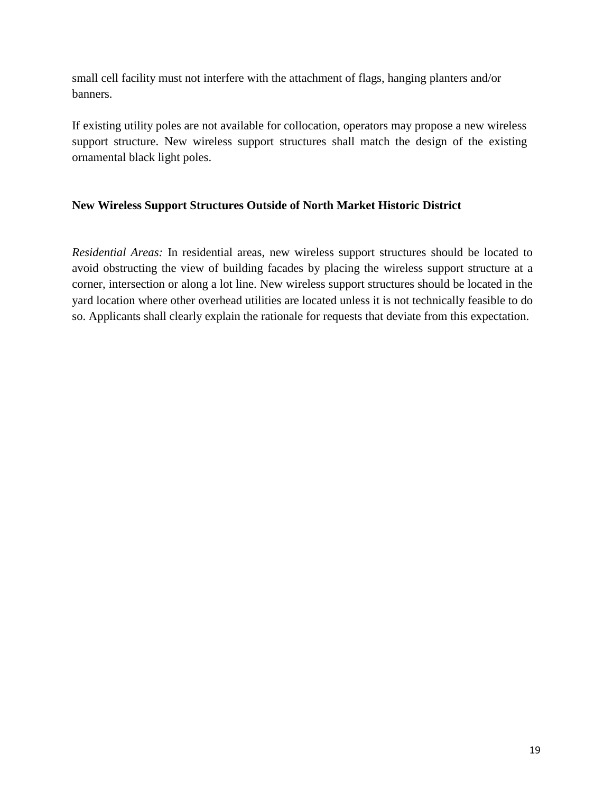small cell facility must not interfere with the attachment of flags, hanging planters and/or banners.

If existing utility poles are not available for collocation, operators may propose a new wireless support structure. New wireless support structures shall match the design of the existing ornamental black light poles.

### **New Wireless Support Structures Outside of North Market Historic District**

*Residential Areas:* In residential areas, new wireless support structures should be located to avoid obstructing the view of building facades by placing the wireless support structure at a corner, intersection or along a lot line. New wireless support structures should be located in the yard location where other overhead utilities are located unless it is not technically feasible to do so. Applicants shall clearly explain the rationale for requests that deviate from this expectation.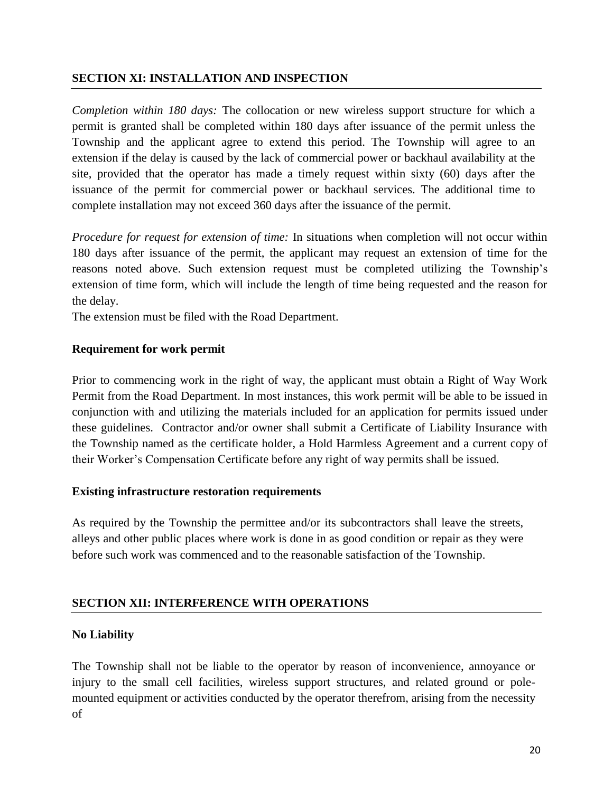#### **SECTION XI: INSTALLATION AND INSPECTION**

*Completion within 180 days:* The collocation or new wireless support structure for which a permit is granted shall be completed within 180 days after issuance of the permit unless the Township and the applicant agree to extend this period. The Township will agree to an extension if the delay is caused by the lack of commercial power or backhaul availability at the site, provided that the operator has made a timely request within sixty (60) days after the issuance of the permit for commercial power or backhaul services. The additional time to complete installation may not exceed 360 days after the issuance of the permit.

*Procedure for request for extension of time:* In situations when completion will not occur within 180 days after issuance of the permit, the applicant may request an extension of time for the reasons noted above. Such extension request must be completed utilizing the Township's extension of time form, which will include the length of time being requested and the reason for the delay.

The extension must be filed with the Road Department.

#### **Requirement for work permit**

Prior to commencing work in the right of way, the applicant must obtain a Right of Way Work Permit from the Road Department. In most instances, this work permit will be able to be issued in conjunction with and utilizing the materials included for an application for permits issued under these guidelines. Contractor and/or owner shall submit a Certificate of Liability Insurance with the Township named as the certificate holder, a Hold Harmless Agreement and a current copy of their Worker's Compensation Certificate before any right of way permits shall be issued.

#### **Existing infrastructure restoration requirements**

As required by the Township the permittee and/or its subcontractors shall leave the streets, alleys and other public places where work is done in as good condition or repair as they were before such work was commenced and to the reasonable satisfaction of the Township.

### **SECTION XII: INTERFERENCE WITH OPERATIONS**

#### **No Liability**

The Township shall not be liable to the operator by reason of inconvenience, annoyance or injury to the small cell facilities, wireless support structures, and related ground or polemounted equipment or activities conducted by the operator therefrom, arising from the necessity of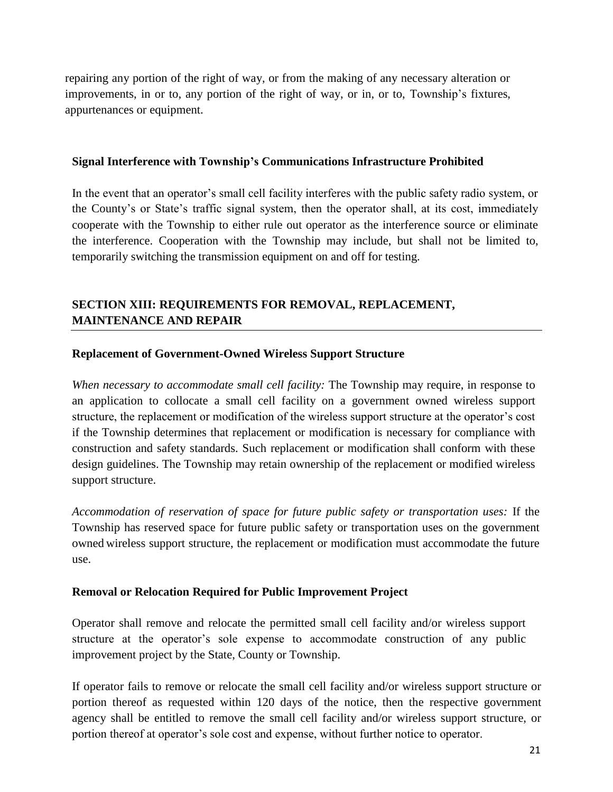repairing any portion of the right of way, or from the making of any necessary alteration or improvements, in or to, any portion of the right of way, or in, or to, Township's fixtures, appurtenances or equipment.

#### **Signal Interference with Township's Communications Infrastructure Prohibited**

In the event that an operator's small cell facility interferes with the public safety radio system, or the County's or State's traffic signal system, then the operator shall, at its cost, immediately cooperate with the Township to either rule out operator as the interference source or eliminate the interference. Cooperation with the Township may include, but shall not be limited to, temporarily switching the transmission equipment on and off for testing.

# **SECTION XIII: REQUIREMENTS FOR REMOVAL, REPLACEMENT, MAINTENANCE AND REPAIR**

#### **Replacement of Government-Owned Wireless Support Structure**

*When necessary to accommodate small cell facility:* The Township may require, in response to an application to collocate a small cell facility on a government owned wireless support structure, the replacement or modification of the wireless support structure at the operator's cost if the Township determines that replacement or modification is necessary for compliance with construction and safety standards. Such replacement or modification shall conform with these design guidelines. The Township may retain ownership of the replacement or modified wireless support structure.

*Accommodation of reservation of space for future public safety or transportation uses:* If the Township has reserved space for future public safety or transportation uses on the government owned wireless support structure, the replacement or modification must accommodate the future use.

### **Removal or Relocation Required for Public Improvement Project**

Operator shall remove and relocate the permitted small cell facility and/or wireless support structure at the operator's sole expense to accommodate construction of any public improvement project by the State, County or Township.

If operator fails to remove or relocate the small cell facility and/or wireless support structure or portion thereof as requested within 120 days of the notice, then the respective government agency shall be entitled to remove the small cell facility and/or wireless support structure, or portion thereof at operator's sole cost and expense, without further notice to operator.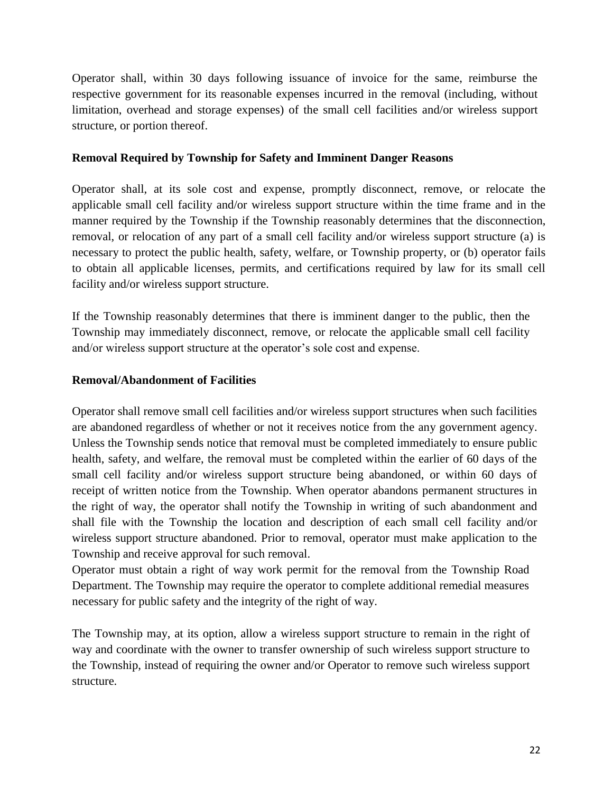Operator shall, within 30 days following issuance of invoice for the same, reimburse the respective government for its reasonable expenses incurred in the removal (including, without limitation, overhead and storage expenses) of the small cell facilities and/or wireless support structure, or portion thereof.

#### **Removal Required by Township for Safety and Imminent Danger Reasons**

Operator shall, at its sole cost and expense, promptly disconnect, remove, or relocate the applicable small cell facility and/or wireless support structure within the time frame and in the manner required by the Township if the Township reasonably determines that the disconnection, removal, or relocation of any part of a small cell facility and/or wireless support structure (a) is necessary to protect the public health, safety, welfare, or Township property, or (b) operator fails to obtain all applicable licenses, permits, and certifications required by law for its small cell facility and/or wireless support structure.

If the Township reasonably determines that there is imminent danger to the public, then the Township may immediately disconnect, remove, or relocate the applicable small cell facility and/or wireless support structure at the operator's sole cost and expense.

#### **Removal/Abandonment of Facilities**

Operator shall remove small cell facilities and/or wireless support structures when such facilities are abandoned regardless of whether or not it receives notice from the any government agency. Unless the Township sends notice that removal must be completed immediately to ensure public health, safety, and welfare, the removal must be completed within the earlier of 60 days of the small cell facility and/or wireless support structure being abandoned, or within 60 days of receipt of written notice from the Township. When operator abandons permanent structures in the right of way, the operator shall notify the Township in writing of such abandonment and shall file with the Township the location and description of each small cell facility and/or wireless support structure abandoned. Prior to removal, operator must make application to the Township and receive approval for such removal.

Operator must obtain a right of way work permit for the removal from the Township Road Department. The Township may require the operator to complete additional remedial measures necessary for public safety and the integrity of the right of way.

The Township may, at its option, allow a wireless support structure to remain in the right of way and coordinate with the owner to transfer ownership of such wireless support structure to the Township, instead of requiring the owner and/or Operator to remove such wireless support structure.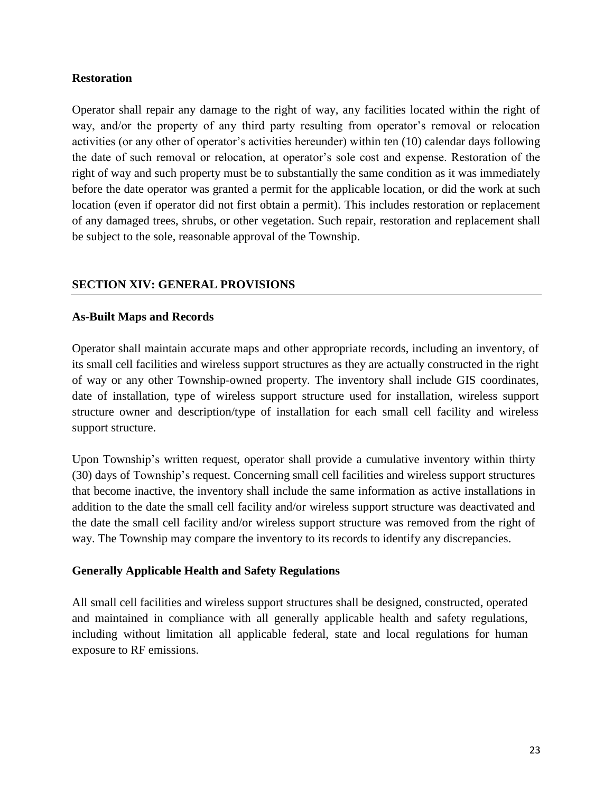#### **Restoration**

Operator shall repair any damage to the right of way, any facilities located within the right of way, and/or the property of any third party resulting from operator's removal or relocation activities (or any other of operator's activities hereunder) within ten (10) calendar days following the date of such removal or relocation, at operator's sole cost and expense. Restoration of the right of way and such property must be to substantially the same condition as it was immediately before the date operator was granted a permit for the applicable location, or did the work at such location (even if operator did not first obtain a permit). This includes restoration or replacement of any damaged trees, shrubs, or other vegetation. Such repair, restoration and replacement shall be subject to the sole, reasonable approval of the Township.

### **SECTION XIV: GENERAL PROVISIONS**

#### **As-Built Maps and Records**

Operator shall maintain accurate maps and other appropriate records, including an inventory, of its small cell facilities and wireless support structures as they are actually constructed in the right of way or any other Township-owned property. The inventory shall include GIS coordinates, date of installation, type of wireless support structure used for installation, wireless support structure owner and description/type of installation for each small cell facility and wireless support structure.

Upon Township's written request, operator shall provide a cumulative inventory within thirty (30) days of Township's request. Concerning small cell facilities and wireless support structures that become inactive, the inventory shall include the same information as active installations in addition to the date the small cell facility and/or wireless support structure was deactivated and the date the small cell facility and/or wireless support structure was removed from the right of way. The Township may compare the inventory to its records to identify any discrepancies.

### **Generally Applicable Health and Safety Regulations**

All small cell facilities and wireless support structures shall be designed, constructed, operated and maintained in compliance with all generally applicable health and safety regulations, including without limitation all applicable federal, state and local regulations for human exposure to RF emissions.